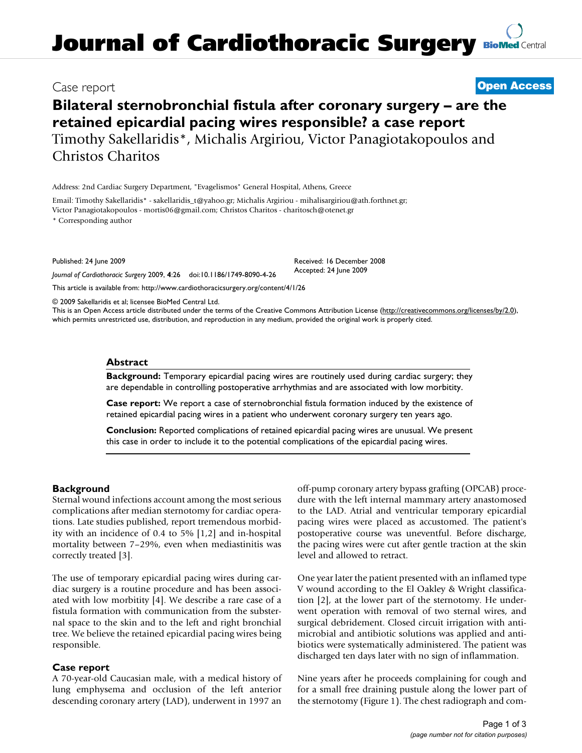# **Journal of Cardiothoracic Surgery [BioMed](http://www.biomedcentral.com/) Central**

### Case report **[Open Access](http://www.biomedcentral.com/info/about/charter/)**

## **Bilateral sternobronchial fistula after coronary surgery – are the retained epicardial pacing wires responsible? a case report** Timothy Sakellaridis\*, Michalis Argiriou, Victor Panagiotakopoulos and Christos Charitos

Address: 2nd Cardiac Surgery Department, "Evagelismos" General Hospital, Athens, Greece

Email: Timothy Sakellaridis\* - sakellaridis\_t@yahoo.gr; Michalis Argiriou - mihalisargiriou@ath.forthnet.gr; Victor Panagiotakopoulos - mortis06@gmail.com; Christos Charitos - charitosch@otenet.gr

\* Corresponding author

Published: 24 June 2009

*Journal of Cardiothoracic Surgery* 2009, **4**:26 doi:10.1186/1749-8090-4-26

[This article is available from: http://www.cardiothoracicsurgery.org/content/4/1/26](http://www.cardiothoracicsurgery.org/content/4/1/26)

© 2009 Sakellaridis et al; licensee BioMed Central Ltd.

This is an Open Access article distributed under the terms of the Creative Commons Attribution License [\(http://creativecommons.org/licenses/by/2.0\)](http://creativecommons.org/licenses/by/2.0), which permits unrestricted use, distribution, and reproduction in any medium, provided the original work is properly cited.

Received: 16 December 2008 Accepted: 24 June 2009

#### **Abstract**

**Background:** Temporary epicardial pacing wires are routinely used during cardiac surgery; they are dependable in controlling postoperative arrhythmias and are associated with low morbitity.

**Case report:** We report a case of sternobronchial fistula formation induced by the existence of retained epicardial pacing wires in a patient who underwent coronary surgery ten years ago.

**Conclusion:** Reported complications of retained epicardial pacing wires are unusual. We present this case in order to include it to the potential complications of the epicardial pacing wires.

#### **Background**

Sternal wound infections account among the most serious complications after median sternotomy for cardiac operations. Late studies published, report tremendous morbidity with an incidence of 0.4 to 5% [1,2] and in-hospital mortality between 7–29%, even when mediastinitis was correctly treated [3].

The use of temporary epicardial pacing wires during cardiac surgery is a routine procedure and has been associated with low morbitity [4]. We describe a rare case of a fistula formation with communication from the substernal space to the skin and to the left and right bronchial tree. We believe the retained epicardial pacing wires being responsible.

#### **Case report**

A 70-year-old Caucasian male, with a medical history of lung emphysema and occlusion of the left anterior descending coronary artery (LAD), underwent in 1997 an

off-pump coronary artery bypass grafting (OPCAB) procedure with the left internal mammary artery anastomosed to the LAD. Atrial and ventricular temporary epicardial pacing wires were placed as accustomed. The patient's postoperative course was uneventful. Before discharge, the pacing wires were cut after gentle traction at the skin level and allowed to retract.

One year later the patient presented with an inflamed type V wound according to the El Oakley & Wright classification [2], at the lower part of the sternotomy. He underwent operation with removal of two sternal wires, and surgical debridement. Closed circuit irrigation with antimicrobial and antibiotic solutions was applied and antibiotics were systematically administered. The patient was discharged ten days later with no sign of inflammation.

Nine years after he proceeds complaining for cough and for a small free draining pustule along the lower part of the sternotomy (Figure 1). The chest radiograph and com-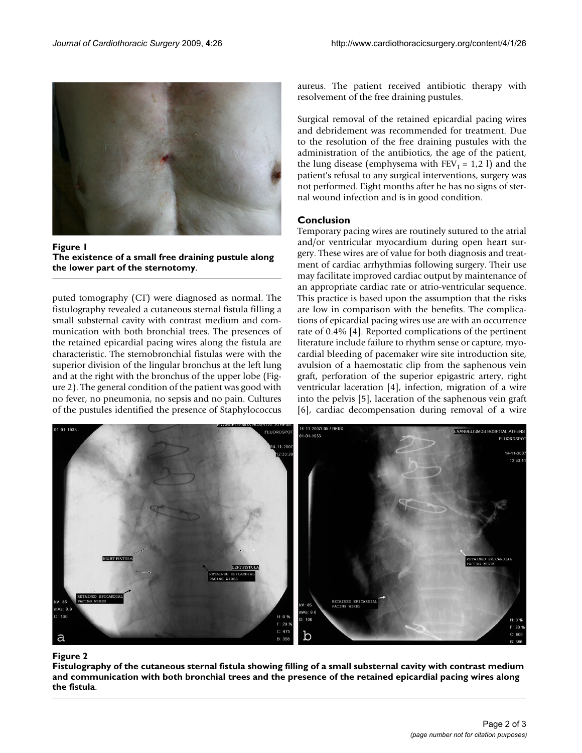

Figure 1 **The existence of a small free draining pustule along the lower part of the sternotomy**.

puted tomography (CT) were diagnosed as normal. The fistulography revealed a cutaneous sternal fistula filling a small substernal cavity with contrast medium and communication with both bronchial trees. The presences of the retained epicardial pacing wires along the fistula are characteristic. The sternobronchial fistulas were with the superior division of the lingular bronchus at the left lung and at the right with the bronchus of the upper lobe (Figure 2). The general condition of the patient was good with no fever, no pneumonia, no sepsis and no pain. Cultures of the pustules identified the presence of Staphylococcus aureus. The patient received antibiotic therapy with resolvement of the free draining pustules.

Surgical removal of the retained epicardial pacing wires and debridement was recommended for treatment. Due to the resolution of the free draining pustules with the administration of the antibiotics, the age of the patient, the lung disease (emphysema with  $FEV_1 = 1,2$  l) and the patient's refusal to any surgical interventions, surgery was not performed. Eight months after he has no signs of sternal wound infection and is in good condition.

#### **Conclusion**

Temporary pacing wires are routinely sutured to the atrial and/or ventricular myocardium during open heart surgery. These wires are of value for both diagnosis and treatment of cardiac arrhythmias following surgery. Their use may facilitate improved cardiac output by maintenance of an appropriate cardiac rate or atrio-ventricular sequence. This practice is based upon the assumption that the risks are low in comparison with the benefits. The complications of epicardial pacing wires use are with an occurrence rate of 0.4% [4]. Reported complications of the pertinent literature include failure to rhythm sense or capture, myocardial bleeding of pacemaker wire site introduction site, avulsion of a haemostatic clip from the saphenous vein graft, perforation of the superior epigastric artery, right ventricular laceration [4], infection, migration of a wire into the pelvis [5], laceration of the saphenous vein graft [6], cardiac decompensation during removal of a wire



#### Figure 2 and 2008 and 2008 and 2008 and 2008 and 2008 and 2008 and 2008 and 2008 and 2008 and 2008 and 2008 and

**Fistulography of the cutaneous sternal fistula showing filling of a small substernal cavity with contrast medium and communication with both bronchial trees and the presence of the retained epicardial pacing wires along the fistula**.